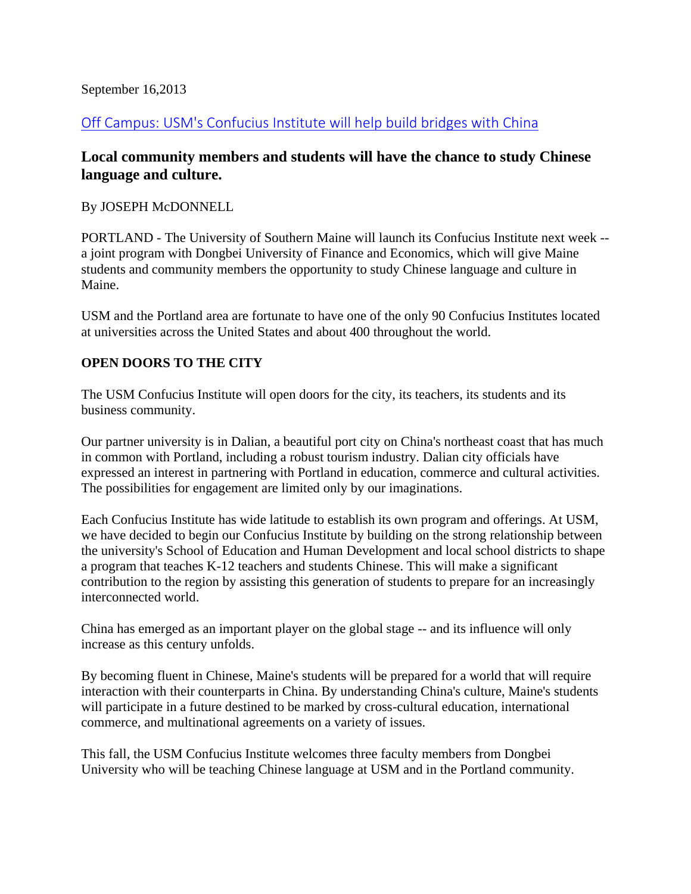### September 16,2013

# [Off Campus: USM's Confucius Institute will help build bridges with China](http://www.pressherald.com/opinion/usms-confucius-institute-will-help-build-bridges-with-china_2013-09-16.html)

# **Local community members and students will have the chance to study Chinese language and culture.**

#### By JOSEPH McDONNELL

PORTLAND - The University of Southern Maine will launch its Confucius Institute next week - a joint program with Dongbei University of Finance and Economics, which will give Maine students and community members the opportunity to study Chinese language and culture in Maine.

USM and the Portland area are fortunate to have one of the only 90 Confucius Institutes located at universities across the United States and about 400 throughout the world.

## **OPEN DOORS TO THE CITY**

The USM Confucius Institute will open doors for the city, its teachers, its students and its business community.

Our partner university is in Dalian, a beautiful port city on China's northeast coast that has much in common with Portland, including a robust tourism industry. Dalian city officials have expressed an interest in partnering with Portland in education, commerce and cultural activities. The possibilities for engagement are limited only by our imaginations.

Each Confucius Institute has wide latitude to establish its own program and offerings. At USM, we have decided to begin our Confucius Institute by building on the strong relationship between the university's School of Education and Human Development and local school districts to shape a program that teaches K-12 teachers and students Chinese. This will make a significant contribution to the region by assisting this generation of students to prepare for an increasingly interconnected world.

China has emerged as an important player on the global stage -- and its influence will only increase as this century unfolds.

By becoming fluent in Chinese, Maine's students will be prepared for a world that will require interaction with their counterparts in China. By understanding China's culture, Maine's students will participate in a future destined to be marked by cross-cultural education, international commerce, and multinational agreements on a variety of issues.

This fall, the USM Confucius Institute welcomes three faculty members from Dongbei University who will be teaching Chinese language at USM and in the Portland community.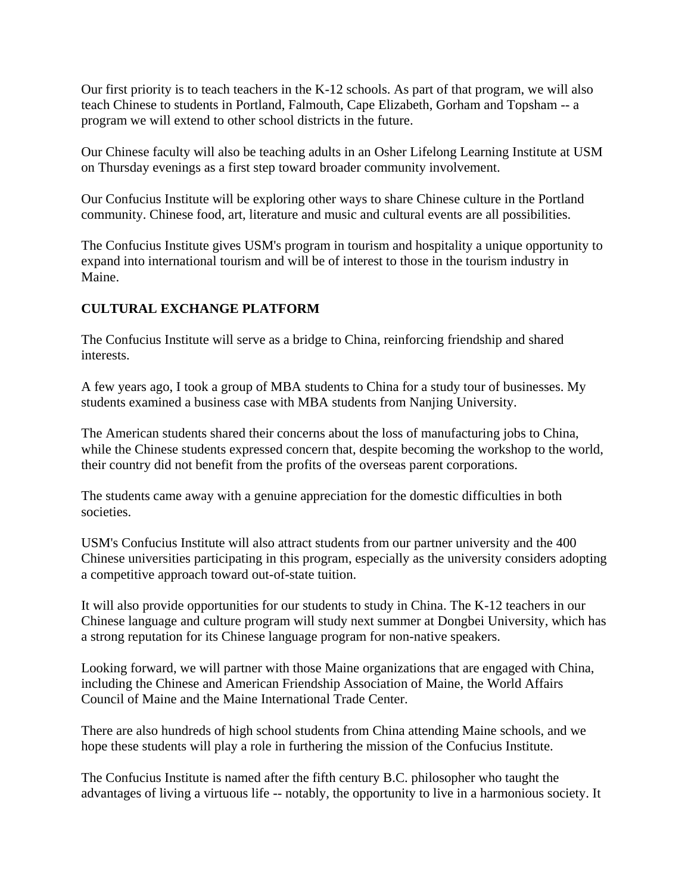Our first priority is to teach teachers in the K-12 schools. As part of that program, we will also teach Chinese to students in Portland, Falmouth, Cape Elizabeth, Gorham and Topsham -- a program we will extend to other school districts in the future.

Our Chinese faculty will also be teaching adults in an Osher Lifelong Learning Institute at USM on Thursday evenings as a first step toward broader community involvement.

Our Confucius Institute will be exploring other ways to share Chinese culture in the Portland community. Chinese food, art, literature and music and cultural events are all possibilities.

The Confucius Institute gives USM's program in tourism and hospitality a unique opportunity to expand into international tourism and will be of interest to those in the tourism industry in Maine.

## **CULTURAL EXCHANGE PLATFORM**

The Confucius Institute will serve as a bridge to China, reinforcing friendship and shared interests.

A few years ago, I took a group of MBA students to China for a study tour of businesses. My students examined a business case with MBA students from Nanjing University.

The American students shared their concerns about the loss of manufacturing jobs to China, while the Chinese students expressed concern that, despite becoming the workshop to the world, their country did not benefit from the profits of the overseas parent corporations.

The students came away with a genuine appreciation for the domestic difficulties in both societies.

USM's Confucius Institute will also attract students from our partner university and the 400 Chinese universities participating in this program, especially as the university considers adopting a competitive approach toward out-of-state tuition.

It will also provide opportunities for our students to study in China. The K-12 teachers in our Chinese language and culture program will study next summer at Dongbei University, which has a strong reputation for its Chinese language program for non-native speakers.

Looking forward, we will partner with those Maine organizations that are engaged with China, including the Chinese and American Friendship Association of Maine, the World Affairs Council of Maine and the Maine International Trade Center.

There are also hundreds of high school students from China attending Maine schools, and we hope these students will play a role in furthering the mission of the Confucius Institute.

The Confucius Institute is named after the fifth century B.C. philosopher who taught the advantages of living a virtuous life -- notably, the opportunity to live in a harmonious society. It